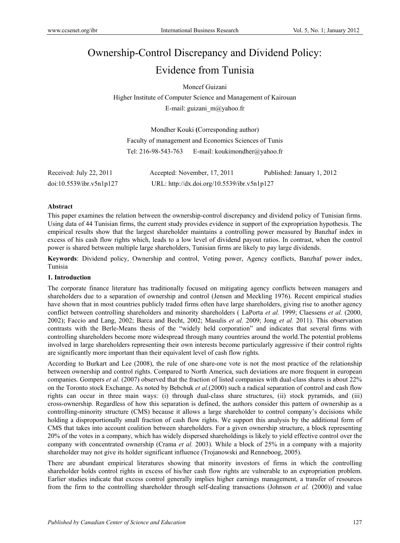# Ownership-Control Discrepancy and Dividend Policy: Evidence from Tunisia

Moncef Guizani

Higher Institute of Computer Science and Management of Kairouan E-mail: guizani  $m@yahoo.fr$ 

Mondher Kouki **(**Corresponding author) Faculty of management and Economics Sciences of Tunis Tel: 216-98-543-763 E-mail: koukimondher@yahoo.fr

| Received: July 22, 2011  | Accepted: November, 17, 2011                | Published: January 1, 2012 |
|--------------------------|---------------------------------------------|----------------------------|
| doi:10.5539/ibr.v5n1p127 | URL: http://dx.doi.org/10.5539/ibr.v5n1p127 |                            |

## **Abstract**

This paper examines the relation between the ownership-control discrepancy and dividend policy of Tunisian firms. Using data of 44 Tunisian firms, the current study provides evidence in support of the expropriation hypothesis. The empirical results show that the largest shareholder maintains a controlling power measured by Banzhaf index in excess of his cash flow rights which, leads to a low level of dividend payout ratios. In contrast, when the control power is shared between multiple large shareholders, Tunisian firms are likely to pay large dividends.

**Keywords**: Dividend policy, Ownership and control, Voting power, Agency conflicts, Banzhaf power index, Tunisia

#### **1. Introduction**

The corporate finance literature has traditionally focused on mitigating agency conflicts between managers and shareholders due to a separation of ownership and control (Jensen and Meckling 1976). Recent empirical studies have shown that in most countries publicly traded firms often have large shareholders, giving rise to another agency conflict between controlling shareholders and minority shareholders ( LaPorta *et al.* 1999; Claessens *et al.* (2000, 2002); Faccio and Lang, 2002; Barca and Becht, 2002; Masulis *et al.* 2009; Jong *et al.* 2011). This observation contrasts with the Berle-Means thesis of the "widely held corporation" and indicates that several firms with controlling shareholders become more widespread through many countries around the world.The potential problems involved in large shareholders representing their own interests become particularly aggressive if their control rights are significantly more important than their equivalent level of cash flow rights.

According to Burkart and Lee (2008), the rule of one share-one vote is not the most practice of the relationship between ownership and control rights. Compared to North America, such deviations are more frequent in european companies. Gompers *et al.* (2007) observed that the fraction of listed companies with dual-class shares is about 22% on the Toronto stock Exchange. As noted by Bebchuk *et al.*(2000) such a radical separation of control and cash flow rights can occur in three main ways: (i) through dual-class share structures, (ii) stock pyramids, and (iii) cross-ownership. Regardless of how this separation is defined, the authors consider this pattern of ownership as a controlling-minority structure (CMS) because it allows a large shareholder to control company's decisions while holding a disproportionally small fraction of cash flow rights. We support this analysis by the additional form of CMS that takes into account coalition between shareholders. For a given ownership structure, a block representing 20% of the votes in a company, which has widely dispersed shareholdings is likely to yield effective control over the company with concentrated ownership (Crama *et al.* 2003). While a block of 25% in a company with a majority shareholder may not give its holder significant influence (Trojanowski and Renneboog, 2005).

There are abundant empirical literatures showing that minority investors of firms in which the controlling shareholder holds control rights in excess of his/her cash flow rights are vulnerable to an expropriation problem. Earlier studies indicate that excess control generally implies higher earnings management, a transfer of resources from the firm to the controlling shareholder through self-dealing transactions (Johnson *et al.* (2000)) and value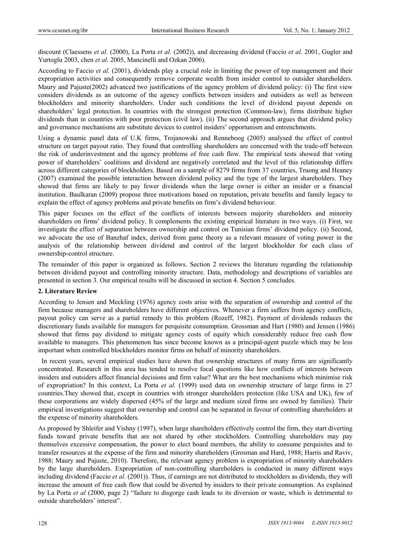discount (Claessens *et al.* (2000), La Porta *et al.* (2002)), and decreasing dividend (Faccio *et al*. 2001, Gugler and Yurtoglu 2003, chen *et al.* 2005, Mancinelli and Ozkan 2006).

According to Faccio *et al.* (2001), dividends play a crucial role in limiting the power of top management and their expropriation activities and consequently remove corporate wealth from insider control to outsider shareholders. Maury and Pajuste(2002) advanced two justifications of the agency problem of dividend policy: (i) The first view considers dividends as an outcome of the agency conflicts between insiders and outsiders as well as between blockholders and minority shareholders. Under such conditions the level of dividend payout depends on shareholders' legal protection. In countries with the strongest protection (Common-law), firms distribute higher dividends than in countries with poor protection (civil law). (ii) The second approach argues that dividend policy and governance mechanisms are substitute devices to control insiders' opportunism and entrenchments.

Using a dynamic panel data of U.K firms, Trojanowski and Renneboog (2005) analysed the effect of control structure on target payout ratio. They found that controlling shareholders are concerned with the trade-off between the risk of underinvestment and the agency problems of free cash flow. The empirical tests showed that voting power of shareholders' coalitions and dividend are negatively correlated and the level of this relationship differs across different categories of blockholders. Based on a sample of 8279 firms from 37 countries, Truong and Heaney (2007) examined the possible interaction between dividend policy and the type of the largest shareholders. They showed that firms are likely to pay fewer dividends when the large owner is either an insider or a financial institution. Baulkaran (2009) propose three motivations based on reputation, private benefits and family legacy to explain the effect of agency problems and private benefits on firm's dividend behaviour.

This paper focuses on the effect of the conflicts of interests between majority shareholders and minority shareholders on firms' dividend policy. It complements the existing empirical literature in two ways. (i) First, we investigate the effect of separation between ownership and control on Tunisian firms' dividend policy. (ii) Second, we advocate the use of Banzhaf index, derived from game theory as a relevant measure of voting power in the analysis of the relationship between dividend and control of the largest blockholder for each class of ownership-control structure.

The remainder of this paper is organized as follows. Section 2 reviews the literature regarding the relationship between dividend payout and controlling minority structure. Data, methodology and descriptions of variables are presented in section 3. Our empirical results will be discussed in section 4. Section 5 concludes.

## **2. Literature Review**

According to Jensen and Meckling (1976) agency costs arise with the separation of ownership and control of the firm because managers and shareholders have different objectives. Whenever a firm suffers from agency conflicts, payout policy can serve as a partial remedy to this problem (Rozeff, 1982). Payment of dividends reduces the discretionary funds available for managers for perquisite consumption. Grossman and Hart (1980) and Jensen (1986) showed that firms pay dividend to mitigate agency costs of equity which considerably reduce free cash flow available to managers. This phenomenon has since become known as a principal-agent puzzle which may be less important when controlled blockholders monitor firms on behalf of minority shareholders.

 In recent years, several empirical studies have shown that ownership structures of many firms are significantly concentrated. Research in this area has tended to resolve focal questions like how conflicts of interests between insiders and outsiders affect financial decisions and firm value? What are the best mechanisms which minimise risk of expropriation? In this context, La Porta *et al.* (1999) used data on ownership structure of large firms in 27 countries.They showed that, except in countries with stronger shareholders protection (like USA and UK), few of these corporations are widely dispersed (45% of the large and medium sized firms are owned by families). Their empirical investigations suggest that ownership and control can be separated in favour of controlling shareholders at the expense of minority shareholders.

As proposed by Shleifer and Vishny (1997), when large shareholders effectively control the firm, they start diverting funds toward private benefits that are not shared by other stockholders. Controlling shareholders may pay themselves excessive compensation, the power to elect board members, the ability to consume perquisites and to transfer resources at the expense of the firm and minority shareholders (Grosman and Hard, 1988; Harris and Raviv, 1988; Maury and Pajuste, 2010). Therefore, the relevant agency problem is expropriation of minority shareholders by the large shareholders. Expropriation of non-controlling shareholders is conducted in many different ways including dividend (Faccio *et al.* (2001)). Thus, if earnings are not distributed to stockholders as dividends, they will increase the amount of free cash flow that could be diverted by insiders to their private consumption. As explained by La Porta *et al* (2000, page 2) "failure to disgorge cash leads to its diversion or waste, which is detrimental to outside shareholders' interest".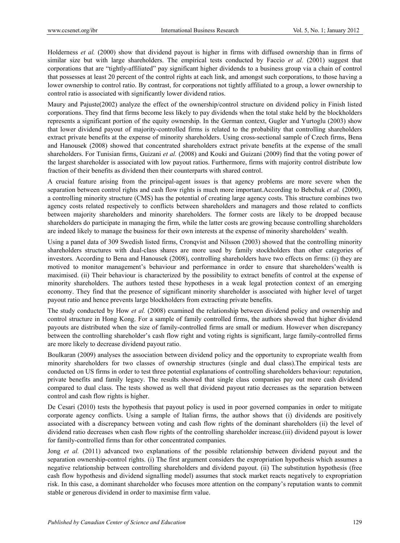Holderness *et al.* (2000) show that dividend payout is higher in firms with diffused ownership than in firms of similar size but with large shareholders. The empirical tests conducted by Faccio *et al.* (2001) suggest that corporations that are "tightly-affiliated" pay significant higher dividends to a business group via a chain of control that possesses at least 20 percent of the control rights at each link, and amongst such corporations, to those having a lower ownership to control ratio. By contrast, for corporations not tightly affiliated to a group, a lower ownership to control ratio is associated with significantly lower dividend ratios.

Maury and Pajuste(2002) analyze the effect of the ownership/control structure on dividend policy in Finish listed corporations. They find that firms become less likely to pay dividends when the total stake held by the blockholders represents a significant portion of the equity ownership. In the German context, Gugler and Yurtoglu (2003) show that lower dividend payout of majority-controlled firms is related to the probability that controlling shareholders extract private benefits at the expense of minority shareholders. Using cross-sectional sample of Czech firms, Bena and Hanousek (2008) showed that concentrated shareholders extract private benefits at the expense of the small shareholders. For Tunisian firms, Guizani *et al.* (2008) and Kouki and Guizani (2009) find that the voting power of the largest shareholder is associated with low payout ratios. Furthermore, firms with majority control distribute low fraction of their benefits as dividend then their counterparts with shared control.

A crucial feature arising from the principal-agent issues is that agency problems are more severe when the separation between control rights and cash flow rights is much more important.According to Bebchuk *et al.* (2000), a controlling minority structure (CMS) has the potential of creating large agency costs. This structure combines two agency costs related respectively to conflicts between shareholders and managers and those related to conflicts between majority shareholders and minority shareholders. The former costs are likely to be dropped because shareholders do participate in managing the firm, while the latter costs are growing because controlling shareholders are indeed likely to manage the business for their own interests at the expense of minority shareholders' wealth.

Using a panel data of 309 Swedish listed firms, Cronqvist and Nilsson (2003) showed that the controlling minority shareholders structures with dual-class shares are more used by family stockholders than other categories of investors. According to Bena and Hanousek (2008), controlling shareholders have two effects on firms: (i) they are motived to monitor management's behaviour and performance in order to ensure that shareholders'wealth is maximised. (ii) Their behaviour is characterized by the possibility to extract benefits of control at the expense of minority shareholders. The authors tested these hypotheses in a weak legal protection context of an emerging economy. They find that the presence of significant minority shareholder is associated with higher level of target payout ratio and hence prevents large blockholders from extracting private benefits.

The study conducted by How *et al.* (2008) examined the relationship between dividend policy and ownership and control structure in Hong Kong. For a sample of family controlled firms, the authors showed that higher dividend payouts are distributed when the size of family-controlled firms are small or medium. However when discrepancy between the controlling shareholder's cash flow right and voting rights is significant, large family-controlled firms are more likely to decrease dividend payout ratio.

Boulkaran (2009) analyses the association between dividend policy and the opportunity to expropriate wealth from minority shareholders for two classes of ownership structures (single and dual class).The empirical tests are conducted on US firms in order to test three potential explanations of controlling shareholders behaviour: reputation, private benefits and family legacy. The results showed that single class companies pay out more cash dividend compared to dual class. The tests showed as well that dividend payout ratio decreases as the separation between control and cash flow rights is higher.

De Cesari (2010) tests the hypothesis that payout policy is used in poor governed companies in order to mitigate corporate agency conflicts. Using a sample of Italian firms, the author shows that (i) dividends are positively associated with a discrepancy between voting and cash flow rights of the dominant shareholders (ii) the level of dividend ratio decreases when cash flow rights of the controlling shareholder increase.(iii) dividend payout is lower for family-controlled firms than for other concentrated companies.

Jong *et al.* (2011) advanced two explanations of the possible relationship between dividend payout and the separation ownership-control rights. (i) The first argument considers the expropriation hypothesis which assumes a negative relationship between controlling shareholders and dividend payout. (ii) The substitution hypothesis (free cash flow hypothesis and dividend signalling model) assumes that stock market reacts negatively to expropriation risk. In this case, a dominant shareholder who focuses more attention on the company's reputation wants to commit stable or generous dividend in order to maximise firm value.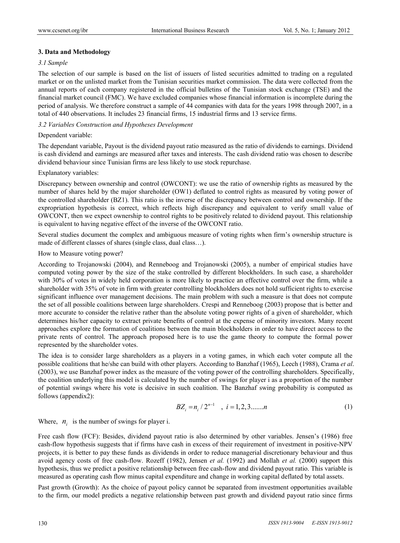# **3. Data and Methodology**

# *3.1 Sample*

The selection of our sample is based on the list of issuers of listed securities admitted to trading on a regulated market or on the unlisted market from the Tunisian securities market commission. The data were collected from the annual reports of each company registered in the official bulletins of the Tunisian stock exchange (TSE) and the financial market council (FMC). We have excluded companies whose financial information is incomplete during the period of analysis. We therefore construct a sample of 44 companies with data for the years 1998 through 2007, in a total of 440 observations. It includes 23 financial firms, 15 industrial firms and 13 service firms.

# *3.2 Variables Construction and Hypotheses Development*

# Dependent variable:

The dependant variable, Payout is the dividend payout ratio measured as the ratio of dividends to earnings. Dividend is cash dividend and earnings are measured after taxes and interests. The cash dividend ratio was chosen to describe dividend behaviour since Tunisian firms are less likely to use stock repurchase.

# Explanatory variables:

Discrepancy between ownership and control (OWCONT): we use the ratio of ownership rights as measured by the number of shares held by the major shareholder (OW1) deflated to control rights as measured by voting power of the controlled shareholder (BZ1). This ratio is the inverse of the discrepancy between control and ownership. If the expropriation hypothesis is correct, which reflects high discrepancy and equivalent to verify small value of OWCONT, then we expect ownership to control rights to be positively related to dividend payout. This relationship is equivalent to having negative effect of the inverse of the OWCONT ratio.

Several studies document the complex and ambiguous measure of voting rights when firm's ownership structure is made of different classes of shares (single class, dual class…).

# How to Measure voting power?

According to Trojanowski (2004), and Renneboog and Trojanowski (2005), a number of empirical studies have computed voting power by the size of the stake controlled by different blockholders. In such case, a shareholder with 30% of votes in widely held corporation is more likely to practice an effective control over the firm, while a shareholder with 35% of vote in firm with greater controlling blockholders does not hold sufficient rights to exercise significant influence over management decisions. The main problem with such a measure is that does not compute the set of all possible coalitions between large shareholders. Crespi and Renneboog (2003) propose that is better and more accurate to consider the relative rather than the absolute voting power rights of a given of shareholder, which determines his/her capacity to extract private benefits of control at the expense of minority investors. Many recent approaches explore the formation of coalitions between the main blockholders in order to have direct access to the private rents of control. The approach proposed here is to use the game theory to compute the formal power represented by the shareholder votes.

The idea is to consider large shareholders as a players in a voting games, in which each voter compute all the possible coalitions that he/she can build with other players. According to Banzhaf (1965), Leech (1988), Crama *et al*. (2003), we use Banzhaf power index as the measure of the voting power of the controlling shareholders. Specifically, the coalition underlying this model is calculated by the number of swings for player i as a proportion of the number of potential swings where his vote is decisive in such coalition. The Banzhaf swing probability is computed as follows (appendix2):

$$
BZ_i = n_i / 2^{n-1} \quad , \quad i = 1, 2, 3, \dots, n \tag{1}
$$

Where,  $n_i$  is the number of swings for player i.

Free cash flow (FCF): Besides, dividend payout ratio is also determined by other variables. Jensen's (1986) free cash-flow hypothesis suggests that if firms have cash in excess of their requirement of investment in positive-NPV projects, it is better to pay these funds as dividends in order to reduce managerial discretionary behaviour and thus avoid agency costs of free cash-flow. Rozeff (1982), Jensen *et al.* (1992) and Mollah *et al.* (2000) support this hypothesis, thus we predict a positive relationship between free cash-flow and dividend payout ratio. This variable is measured as operating cash flow minus capital expenditure and change in working capital deflated by total assets.

Past growth (Growth): As the choice of payout policy cannot be separated from investment opportunities available to the firm, our model predicts a negative relationship between past growth and dividend payout ratio since firms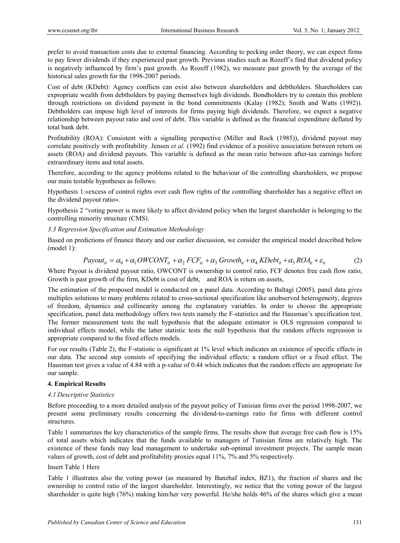prefer to avoid transaction costs due to external financing. According to pecking order theory, we can expect firms to pay fewer dividends if they experienced past growth. Previous studies such as Rozeff's find that dividend policy is negatively influenced by firm's past growth. As Rozeff (1982), we measure past growth by the average of the historical sales growth for the 1998-2007 periods.

Cost of debt (KDebt): Agency conflicts can exist also between shareholders and debtholders. Shareholders can expropriate wealth from debtholders by paying themselves high dividends. Bondholders try to contain this problem through restrictions on dividend payment in the bond commitments (Kalay (1982); Smith and Watts (1992)). Debtholders can impose high level of interests for firms paying high dividends. Therefore, we expect a negative relationship between payout ratio and cost of debt. This variable is defined as the financial expenditure deflated by total bank debt.

Profitability (ROA): Consistent with a signalling perspective (Miller and Rock (1985)), dividend payout may correlate positively with profitability. Jensen *et al.* (1992) find evidence of a positive association between return on assets (ROA) and dividend payouts. This variable is defined as the mean ratio between after-tax earnings before extraordinary items and total assets.

Therefore, according to the agency problems related to the behaviour of the controlling shareholders, we propose our main testable hypotheses as follows:

Hypothesis 1:«excess of control rights over cash flow rights of the controlling shareholder has a negative effect on the dividend payout ratio».

Hypothesis 2 "voting power is more likely to affect dividend policy when the largest shareholder is belonging to the controlling minority structure (CMS).

# *3.3 Regression Specification and Estimation Methodology*

Based on predictions of finance theory and our earlier discussion, we consider the empirical model described below (model 1):

$$
Payout_{it} = \alpha_0 + \alpha_1 OWCONT_{it} + \alpha_2 FCF_{it} + \alpha_3 Growth_{it} + \alpha_4 KDebt_{it} + \alpha_5 ROA_{it} + \varepsilon_{it}
$$
 (2)

Where Payout is dividend payout ratio, OWCONT is ownership to control ratio, FCF denotes free cash flow ratio, Growth is past growth of the firm, KDebt is cost of debt, and ROA is return on assets,

The estimation of the proposed model is conducted on a panel data. According to Baltagi (2005), panel data gives multiples solutions to many problems related to cross-sectional specification like unobserved heterogeneity, degrees of freedom, dynamics and collinearity among the explanatory variables. In order to choose the appropriate specification, panel data methodology offers two tests namely the F-statistics and the Hausman's specification test. The former measurement tests the null hypothesis that the adequate estimator is OLS regression compared to individual effects model, while the latter statistic tests the null hypothesis that the random effects regression is appropriate compared to the fixed effects models.

For our results (Table 2), the F-statistic is significant at 1% level which indicates an existence of specific effects in our data. The second step consists of specifying the individual effects: a random effect or a fixed effect. The Hausman test gives a value of 4.84 with a p-value of 0.44 which indicates that the random effects are appropriate for our sample.

## **4. Empirical Results**

## *4.1 Descriptive Statistics*

Before proceeding to a more detailed analysis of the payout policy of Tunisian firms over the period 1998-2007, we present some preliminary results concerning the dividend-to-earnings ratio for firms with different control structures.

Table 1 summarizes the key characteristics of the sample firms. The results show that average free cash flow is 15% of total assets which indicates that the funds available to managers of Tunisian firms are relatively high. The existence of these funds may lead management to undertake sub-optimal investment projects. The sample mean values of growth, cost of debt and profitability proxies equal 11%, 7% and 5% respectively.

# Insert Table 1 Here

Table 1 illustrates also the voting power (as measured by Banzhaf index, BZ1), the fraction of shares and the ownership to control ratio of the largest shareholder. Interestingly, we notice that the voting power of the largest shareholder is quite high (76%) making him/her very powerful. He/she holds 46% of the shares which give a mean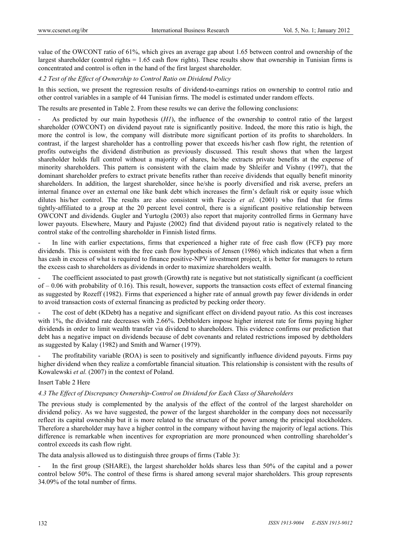value of the OWCONT ratio of 61%, which gives an average gap about 1.65 between control and ownership of the largest shareholder (control rights = 1.65 cash flow rights). These results show that ownership in Tunisian firms is concentrated and control is often in the hand of the first largest shareholder.

# *4.2 Test of the Effect of Ownership to Control Ratio on Dividend Policy*

In this section, we present the regression results of dividend-to-earnings ratios on ownership to control ratio and other control variables in a sample of 44 Tunisian firms. The model is estimated under random effects.

The results are presented in Table 2. From these results we can derive the following conclusions:

- As predicted by our main hypothesis (*H1*), the influence of the ownership to control ratio of the largest shareholder (OWCONT) on dividend payout rate is significantly positive. Indeed, the more this ratio is high, the more the control is low, the company will distribute more significant portion of its profits to shareholders. In contrast, if the largest shareholder has a controlling power that exceeds his/her cash flow right, the retention of profits outweighs the dividend distribution as previously discussed. This result shows that when the largest shareholder holds full control without a majority of shares, he/she extracts private benefits at the expense of minority shareholders. This pattern is consistent with the claim made by Shleifer and Vishny (1997), that the dominant shareholder prefers to extract private benefits rather than receive dividends that equally benefit minority shareholders. In addition, the largest shareholder, since he/she is poorly diversified and risk averse, prefers an internal finance over an external one like bank debt which increases the firm's default risk or equity issue which dilutes his/her control. The results are also consistent with Faccio *et al.* (2001) who find that for firms tightly-affiliated to a group at the 20 percent level control, there is a significant positive relationship between OWCONT and dividends. Gugler and Yurtoglu (2003) also report that majority controlled firms in Germany have lower payouts. Elsewhere, Maury and Pajuste (2002) find that dividend payout ratio is negatively related to the control stake of the controlling shareholder in Finnish listed firms.

- In line with earlier expectations, firms that experienced a higher rate of free cash flow (FCF**)** pay more dividends. This is consistent with the free cash flow hypothesis of Jensen (1986) which indicates that when a firm has cash in excess of what is required to finance positive-NPV investment project, it is better for managers to return the excess cash to shareholders as dividends in order to maximize shareholders wealth.

- The coefficient associated to past growth (Growth**)** rate is negative but not statistically significant (a coefficient  $of -0.06$  with probability of 0.16). This result, however, supports the transaction costs effect of external financing as suggested by Rozeff (1982). Firms that experienced a higher rate of annual growth pay fewer dividends in order to avoid transaction costs of external financing as predicted by pecking order theory.

- The cost of debt (KDebt**)** has a negative and significant effect on dividend payout ratio. As this cost increases with 1%, the dividend rate decreases with 2.66%. Debtholders impose higher interest rate for firms paying higher dividends in order to limit wealth transfer via dividend to shareholders. This evidence confirms our prediction that debt has a negative impact on dividends because of debt covenants and related restrictions imposed by debtholders as suggested by Kalay (1982) and Smith and Warner (1979).

The profitability variable (ROA) is seen to positively and significantly influence dividend payouts. Firms pay higher dividend when they realize a comfortable financial situation. This relationship is consistent with the results of Kowalewski *et al.* (2007) in the context of Poland.

# Insert Table 2 Here

## *4.3 The Effect of Discrepancy Ownership-Control on Dividend for Each Class of Shareholders*

The previous study is complemented by the analysis of the effect of the control of the largest shareholder on dividend policy. As we have suggested, the power of the largest shareholder in the company does not necessarily reflect its capital ownership but it is more related to the structure of the power among the principal stockholders. Therefore a shareholder may have a higher control in the company without having the majority of legal actions. This difference is remarkable when incentives for expropriation are more pronounced when controlling shareholder's control exceeds its cash flow right.

The data analysis allowed us to distinguish three groups of firms (Table 3):

In the first group (SHARE), the largest shareholder holds shares less than 50% of the capital and a power control below 50%. The control of these firms is shared among several major shareholders. This group represents 34.09% of the total number of firms.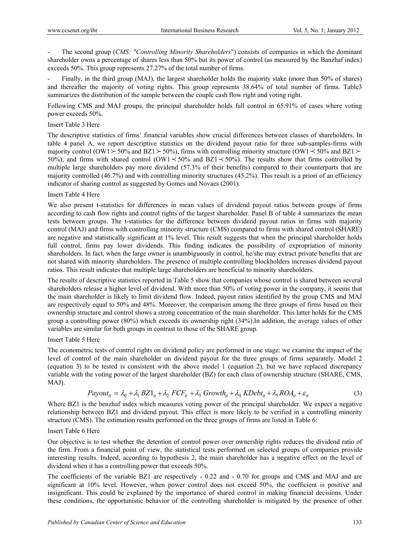- The second group (*CMS: "Controlling Minority Shareholders*") consists of companies in which the dominant shareholder owns a percentage of shares less than 50% but its power of control (as measured by the Banzhaf index) exceeds 50%. This group represents 27.27% of the total number of firms.

Finally, in the third group (MAJ), the largest shareholder holds the majority stake (more than 50% of shares) and thereafter the majority of voting rights. This group represents 38.64% of total number of firms. Table3 summarizes the distribution of the sample between the couple cash flow right and voting right.

Following CMS and MAJ groups, the principal shareholder holds full control in 65.91% of cases where voting power exceeds 50%.

#### Insert Table 3 Here

The descriptive statistics of firms' financial variables show crucial differences between classes of shareholders. In table 4 panel A, we report descriptive statistics on the dividend payout ratio for three sub-samples-firms with majority control (OW1  $>$  50% and BZ1  $>$  50%), firms with controlling minority structure (OW1  $\le$  50% and BZ1  $>$ 50%), and firms with shared control (OW1  $\leq$  50% and BZ1  $\leq$  50%). The results show that firms controlled by multiple large shareholders pay more dividend (57.3% of their benefits) compared to their counterparts that are majority controlled (46.7%) and with controlling minority structures (45.2%). This result is a priori of an efficiency indicator of sharing control as suggested by Gomes and Novaes (2001).

# Insert Table 4 Here

We also present t-statistics for differences in mean values of dividend payout ratios between groups of firms according to cash flow rights and control rights of the largest shareholder. Panel B of table 4 summarizes the mean tests between groups. The t-statistics for the difference between dividend payout ratios in firms with majority control (MAJ) and firms with controlling minority structure (CMS) compared to firms with shared control (SHARE) are negative and statistically significant at 1% level. This result suggests that when the principal shareholder holds full control, firms pay lower dividends. This finding indicates the possibility of expropriation of minority shareholders. In fact, when the large owner is unambiguously in control, he/she may extract private benefits that are not shared with minority shareholders. The presence of multiple controlling blockholders increases dividend payout ratios. This result indicates that multiple large shareholders are beneficial to minority shareholders.

The results of descriptive statistics reported in Table 5 show that companies whose control is shared between several shareholders release a higher level of dividend. With more than 50% of voting power in the company, it seems that the main shareholder is likely to limit dividend flow. Indeed, payout ratios identified by the group CMS and MAJ are respectively equal to 50% and 48%. Moreover, the comparison among the three groups of firms based on their ownership structure and control shows a strong concentration of the main shareholder. This latter holds for the CMS group a controlling power (80%) which exceeds its ownership right (34%).In addition, the average values of other variables are similar for both groups in contrast to those of the SHARE group.

## Insert Table 5 Here

The econometric tests of control rights on dividend policy are performed in one stage: we examine the impact of the level of control of the main shareholder on dividend payout for the three groups of firms separately. Model 2 (equation 3) to be tested is consistent with the above model 1 (equation 2), but we have replaced discrepancy variable with the voting power of the largest shareholder (BZ) for each class of ownership structure (SHARE, CMS, MAJ).

$$
Payout_{it} = \lambda_0 + \lambda_1 BZ1_{it} + \lambda_2 FCF_{it} + \lambda_3 Growth_{it} + \lambda_4 KDebt_{it} + \lambda_5 ROA_{it} + \varepsilon_{it}
$$
\n(3)

Where BZ1 is the benzhaf index which measures voting power of the principal shareholder. We expect a negative relationship between BZ1 and dividend payout. This effect is more likely to be verified in a controlling minority structure (CMS). The estimation results performed on the three groups of firms are listed in Table 6:

## Insert Table 6 Here

Our objective is to test whether the detention of control power over ownership rights reduces the dividend ratio of the firm. From a financial point of view, the statistical tests performed on selected groups of companies provide interesting results. Indeed, according to hypothesis 2, the main shareholder has a negative effect on the level of dividend when it has a controlling power that exceeds 50%.

The coefficients of the variable BZ1 are respectively - 0.22 and - 0.70 for groups and CMS and MAJ and are significant at 10% level. However, when power control does not exceed 50%, the coefficient is positive and insignificant. This could be explained by the importance of shared control in making financial decisions. Under these conditions, the opportunistic behavior of the controlling shareholder is mitigated by the presence of other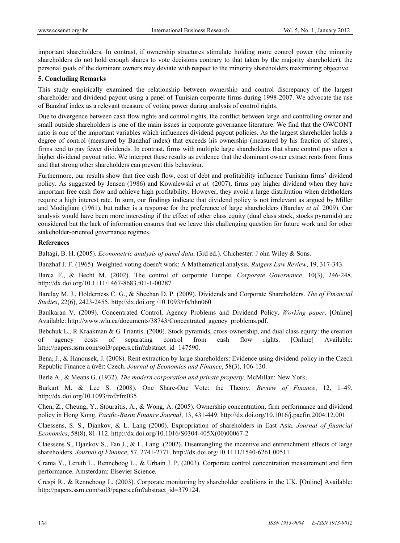important shareholders. In contrast, if ownership structures stimulate holding more control power (the minority shareholders do not hold enough shares to vote decisions contrary to that taken by the majority shareholder), the personal goals of the dominant owners may deviate with respect to the minority shareholders maximizing objective.

# **5. Concluding Remarks**

This study empirically examined the relationship between ownership and control discrepancy of the largest shareholder and dividend payout using a panel of Tunisian corporate firms during 1998-2007. We advocate the use of Banzhaf index as a relevant measure of voting power during analysis of control rights.

Due to divergence between cash flow rights and control rights, the conflict between large and controlling owner and small outside shareholders is one of the main issues in corporate governance literature. We find that the OWCONT ratio is one of the important variables which influences dividend payout policies. As the largest shareholder holds a degree of control (measured by Banzhaf index) that exceeds his ownership (measured by his fraction of shares), firms tend to pay fewer dividends. In contrast, firms with multiple large shareholders that share control pay often a higher dividend payout ratio. We interpret these results as evidence that the dominant owner extract rents from firms and that strong other shareholders can prevent this behaviour.

Furthermore, our results show that free cash flow, cost of debt and profitability influence Tunisian firms' dividend policy. As suggested by Jensen (1986) and Kowalewski *et al.* (2007), firms pay higher dividend when they have important free cash flow and achieve high profitability. However, they avoid a large distribution when debtholders require a high interest rate. In sum, our findings indicate that dividend policy is not irrelevant as argued by Miller and Modigliani (1961), but rather is a response for the preference of large shareholders (Barclay *et al.* 2009). Our analysis would have been more interesting if the effect of other class equity (dual class stock, stocks pyramids) are considered but the lack of information ensures that we leave this challenging question for future work and for other stakeholder-oriented governance regimes.

## **References**

Baltagi, B. H. (2005). *Econometric analysis of panel data*. (3rd ed.). Chichester: J ohn Wiley & Sons.

Banzhaf J. F. (1965). Weighted voting doesn't work: A Mathematical analysis. *Rutgers Law Review*, 19, 317-343.

Barca F., & Becht M. (2002). The control of corporate Europe. *Corporate Governance*, 10(3), 246-248. http://dx.doi.org/10.1111/1467-8683.t01-1-00287

Barclay M. J., Holderness C. G., & Sheehan D. P. (2009). Dividends and Corporate Shareholders. *The of Financial Studies*, 22(6), 2423-2455. http://dx.doi.org /10.1093/rfs/hhn060

Baulkaran V. (2009). Concentrated Control, Agency Problems and Dividend Policy. *Working paper*. [Online] Available: http://www.wlu.ca/documents/38743/Concentrated\_agency\_problems.pdf.

Bebchuk L., R Kraakman & G Triantis. (2000). Stock pyramids, cross-ownership, and dual class equity: the creation of agency costs of separating control from cash flow rights. [Online] Available: http://papers.ssrn.com/sol3/papers.cfm?abstract\_id=147590.

Bena, J., & Hanousek, J. (2008). Rent extraction by large shareholders: Evidence using dividend policy in the Czech Republic Finance a úvěr: Czech. *Journal of Economics and Finance*, 58(3), 106-130.

Berle A., & Means G. (1932). *The modern corporation and private property*. McMillan: New York.

Burkart M. & Lee S. (2008). One Share-One Vote: the Theory. *Review of Finance*, 12, 1–49. http://dx.doi.org/10.1093/rof/rfm035

Chen, Z., Cheung, Y., Stouraitis, A., & Wong, A. (2005). Ownership concentration, firm performance and dividend policy in Hong Kong. *Pacific-Basin Finance Journal*, 13, 431-449. http://dx.doi.org/10.1016/j.pacfin.2004.12.001

Claessens, S. S., Djankov, & L. Lang (2000). Expropriation of shareholders in East Asia. *Journal of financial Economics*, 58(8), 81-112. http://dx.doi.org/10.1016/S0304-405X(00)00067-2

Claessens S., Djankov S., Fan J., & L. Lang. (2002). Disentangling the incentive and entrenchment effects of large shareholders. *Journal of Finance*, 57, 2741-2771. http://dx.doi.org/10.1111/1540-6261.00511

Crama Y., Leruth L., Renneboog L., & Urbain J. P. (2003). Corporate control concentration measurement and firm performance. Amsterdam: Elsevier Science.

Crespi R., & Renneboog L. (2003). Corporate monitoring by shareholder coalitions in the UK. [Online] Available: http://papers.ssrn.com/sol3/papers.cfm?abstract\_id=379124.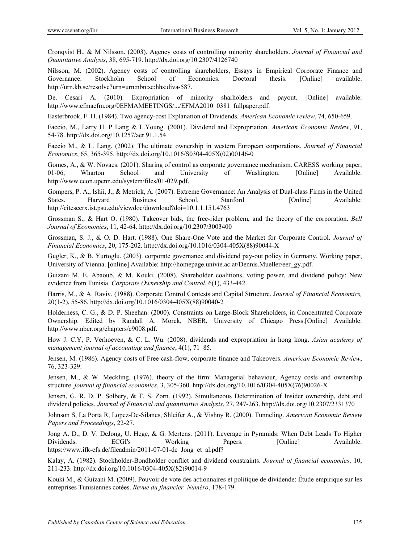Cronqvist H., & M Nilsson. (2003). Agency costs of controlling minority shareholders. *Journal of Financial and Quantitative Analysis*, 38, 695-719. http://dx.doi.org/10.2307/4126740

Nilsson, M. (2002). Agency costs of controlling shareholders, Essays in Empirical Corporate Finance and Governance. Stockholm School of Economics. Doctoral thesis. [Online] available: http://urn.kb.se/resolve?urn=urn:nbn:se:hhs:diva-587.

Cesari A. (2010). Expropriation of minority sharholders and payout. [Online] available: http://www.efmaefm.org/0EFMAMEETINGS/.../EFMA2010\_0381\_fullpaper.pdf.

Easterbrook, F. H. (1984). Two agency-cost Explanation of Dividends. *American Economic review*, 74, 650-659.

Faccio, M., Larry H. P Lang & L.Young. (2001). Dividend and Expropriation. *American Economic Review*, 91, 54-78. http://dx.doi.org/10.1257/aer.91.1.54

Faccio M., & L. Lang. (2002). The ultimate ownership in western European corporations. *Journal of Financial Economics*, 65, 365-395. http://dx.doi.org/10.1016/S0304-405X(02)00146-0

Gomes, A., & W. Novaes. (2001). Sharing of control as corporate governance mechanism. CARESS working paper, 01-06, Wharton School and University of Washington. [Online] Available: http://www.econ.upenn.edu/system/files/01-029.pdf.

Gompers, P. A., Ishii, J., & Metrick, A. (2007). Extreme Governance: An Analysis of Dual-class Firms in the United States. Harvard Business School, Stanford [Online] Available: http://citeseerx.ist.psu.edu/viewdoc/download?doi=10.1.1.151.4763

Grossman S., & Hart O. (1980). Takeover bids, the free-rider problem, and the theory of the corporation. *Bell Journal of Economics*, 11, 42-64. http://dx.doi.org/10.2307/3003400

Grossman, S. J., & O. D. Hart. (1988). One Share-One Vote and the Market for Corporate Control. *Journal of Financial Economics*, 20, 175-202. http://dx.doi.org/10.1016/0304-405X(88)90044-X

Gugler, K., & B. Yurtoglu. (2003). corporate governance and dividend pay-out policy in Germany. Working paper, University of Vienna. [online] Available: http://homepage.univie.ac.at/Dennis.Mueller/eer\_gy.pdf.

Guizani M, E. Abaoub, & M. Kouki. (2008). Shareholder coalitions, voting power, and dividend policy: New evidence from Tunisia. *Corporate Ownership and Control*, 6(1), 433-442.

Harris, M., & A. Raviv. (1988). Corporate Control Contests and Capital Structure. J*ournal of Financial Economics,*  20(1-2), 55-86. http://dx.doi.org/10.1016/0304-405X(88)90040-2

Holderness, C. G., & D. P. Sheehan. (2000). Constraints on Large-Block Shareholders, in Concentrated Corporate Ownership. Edited by Randall A. Morck, NBER, University of Chicago Press.[Online] Available: http://www.nber.org/chapters/c9008.pdf.

How J. C.Y, P. Verhoeven, & C. L. Wu. (2008). dividends and expropriation in hong kong. *Asian academy of management journal of accounting and finance*, 4(1), 71–85.

Jensen, M. (1986). Agency costs of Free cash-flow, corporate finance and Takeovers. *American Economic Review*, 76, 323-329.

Jensen, M., & W. Meckling. (1976). theory of the firm: Managerial behaviour, Agency costs and ownership structure. *journal of financial economics*, 3, 305-360. http://dx.doi.org/10.1016/0304-405X(76)90026-X

Jensen, G. R, D. P. Solbery, & T. S. Zorn. (1992). Simultaneous Determination of Insider ownership, debt and dividend policies. *Journal of Financial and quantitative Analysis*, 27, 247-263. http://dx.doi.org/10.2307/2331370

Johnson S, La Porta R, Lopez-De-Silanes, Shleifer A., & Vishny R. (2000). Tunneling. *American Economic Review Papers and Proceedings*, 22-27.

Jong A. D., D. V. DeJong, U. Hege, & G. Mertens. (2011). Leverage in Pyramids: When Debt Leads To Higher Dividends. ECGI's Working Papers. [Online] Available: https://www.ifk-cfs.de/fileadmin/2011-07-01-de Jong et al.pdf?

Kalay, A. (1982). Stockholder-Bondholder conflict and dividend constraints. *Journal of financial economics*, 10, 211-233. http://dx.doi.org/10.1016/0304-405X(82)90014-9

Kouki M., & Guizani M. (2009). Pouvoir de vote des actionnaires et politique de dividende: Étude empirique sur les entreprises Tunisiennes cotées. *Revue du financier, Numéro*, 178**-**179.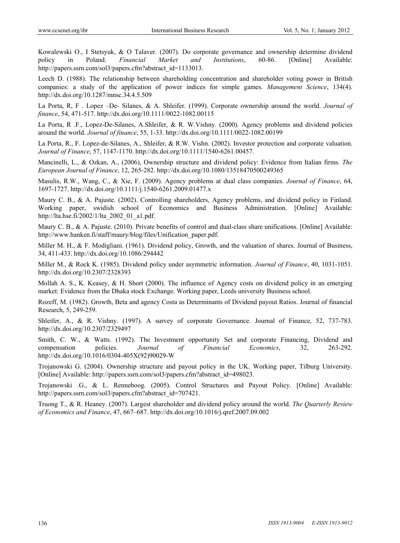Kowalewski O., I Stetsyuk, & O Talaver. (2007). Do corporate governance and ownership determine dividend policy in Poland. *Financial Market and Institutions*, 60-86. [Online] Available: http://papers.ssrn.com/sol3/papers.cfm?abstract\_id=1133013.

Leech D. (1988). The relationship between shareholding concentration and shareholder voting power in British companies: a study of the application of power indices for simple games. *Management Science*, 134(4). http://dx.doi.org/10.1287/mnsc.34.4.5.509

La Porta, R, F . Lopez –De- Silanes, & A. Shleifer. (1999). Corporate ownership around the world. *Journal of finance*, 54, 471-517. http://dx.doi.org/10.1111/0022-1082.00115

La Porta, R .F., Lopez-De-Silanes, A.Shleifer, & R. W.Vishny. (2000). Agency problems and dividend policies around the world. *Journal of finance*, 55, 1-33. http://dx.doi.org/10.1111/0022-1082.00199

La Porta, R., F. Lopez-de-Silanes, A., Shleifer, & R.W. Vishn. (2002). Investor protection and corporate valuation. *Journal of Finance*, 57, 1147-1170. http://dx.doi.org/10.1111/1540-6261.00457.

Mancinelli, L., & Ozkan, A., (2006), Ownership structure and dividend policy: Evidence from Italian firms. *The European Journal of Finance*, 12, 265-282. http://dx.doi.org/10.1080/13518470500249365

Masulis, R.W., Wang, C., & Xie, F. (2009). Agency problems at dual class companies. *Journal of Finance*, 64, 1697-1727. http://dx.doi.org/10.1111/j.1540-6261.2009.01477.x

Maury C. B., & A. Pajuste. (2002). Controlling shareholders, Agency problems, and dividend policy in Finland. Working paper, swidish school of Economics and Business Administration. [Online] Available: http://lta.hse.fi/2002/1/lta\_2002\_01\_a1.pdf.

Maury C. B., & A. Pajuste. (2010). Private benefits of control and dual-class share unifications. [Online] Available: http://www.hanken.fi/staff/maury/blog/files/Unification\_paper.pdf.

Miller M. H., & F. Modigliani. (1961). Dividend policy, Growth, and the valuation of shares. Journal of Business, 34, 411-433. http://dx.doi.org/10.1086/294442

Miller M., & Rock K. (1985). Dividend policy under asymmetric information. *Journal of Finance*, 40, 1031-1051. http://dx.doi.org/10.2307/2328393

Mollah A. S., K. Keasey, & H. Short (2000). The influence of Agency costs on dividend policy in an emerging market: Evidence from the Dhaka stock Exchange. Working paper, Leeds university Business school.

Rozeff, M. (1982). Growth, Beta and agency Costa as Determinants of Dividend payout Ratios. Journal of financial Research, 5, 249-259.

Shleifer, A., & R. Vishny. (1997). A survey of corporate Governance. Journal of Finance, 52, 737-783. http://dx.doi.org/10.2307/2329497

Smith, C. W., & Watts. (1992). The Investment opportunity Set and corporate Financing, Dividend and compensation policies. *Journal of Financial Economics*, 32, 263-292. http://dx.doi.org/10.1016/0304-405X(92)90029-W

Trojanowski G. (2004). Ownership structure and payout policy in the UK. Working paper, Tilburg University. [Online] Available: http://papers.ssrn.com/sol3/papers.cfm?abstract\_id=498023.

Trojanowski .G., & L. Renneboog. (2005). Control Structures and Payout Policy. [Online] Available: http://papers.ssrn.com/sol3/papers.cfm?abstract\_id=707421.

Truong T., & R. Heaney. (2007). Largest shareholder and dividend policy around the world. *The Quarterly Review of Economics and Finance*, 47, 667–687. http://dx.doi.org/10.1016/j.qref.2007.09.002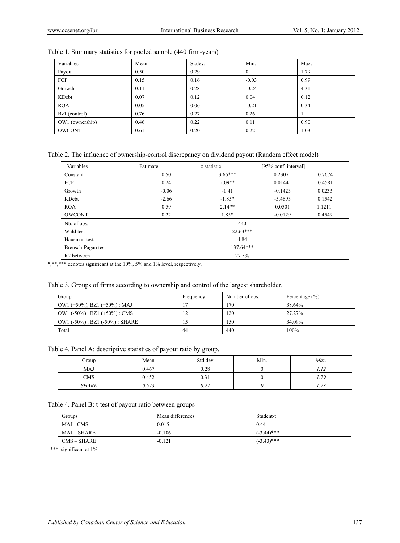| Variables       | Mean | St.dev. | Min.     | Max. |
|-----------------|------|---------|----------|------|
| Payout          | 0.50 | 0.29    | $\Omega$ | 1.79 |
| FCF             | 0.15 | 0.16    | $-0.03$  | 0.99 |
| Growth          | 0.11 | 0.28    | $-0.24$  | 4.31 |
| KDebt           | 0.07 | 0.12    | 0.04     | 0.12 |
| <b>ROA</b>      | 0.05 | 0.06    | $-0.21$  | 0.34 |
| Bz1 (control)   | 0.76 | 0.27    | 0.26     |      |
| OW1 (ownership) | 0.46 | 0.22    | 0.11     | 0.90 |
| <b>OWCONT</b>   | 0.61 | 0.20    | 0.22     | 1.03 |

|  |  |  | Table 1. Summary statistics for pooled sample (440 firm-years) |
|--|--|--|----------------------------------------------------------------|
|--|--|--|----------------------------------------------------------------|

Table 2. The influence of ownership-control discrepancy on dividend payout (Random effect model)

| Variables              | Estimate    | z-statistic | [95% conf. interval] |        |  |
|------------------------|-------------|-------------|----------------------|--------|--|
| Constant               | 0.50        | $3.65***$   | 0.2307               | 0.7674 |  |
| FCF                    | 0.24        | $2.09**$    | 0.0144               | 0.4581 |  |
| Growth                 | $-0.06$     | $-1.41$     | $-0.1423$            | 0.0233 |  |
| KDebt                  | $-2.66$     | $-1.85*$    | $-5.4693$            | 0.1542 |  |
| <b>ROA</b>             | 0.59        | $2.14**$    | 0.0501               | 1.1211 |  |
| <b>OWCONT</b>          | 0.22        | $1.85*$     | $-0.0129$            | 0.4549 |  |
| Nb. of obs.            |             | 440         |                      |        |  |
| Wald test              | $22.63***$  |             |                      |        |  |
| Hausman test           | 4.84        |             |                      |        |  |
| Breusch-Pagan test     | $137.64***$ |             |                      |        |  |
| R <sub>2</sub> between |             | 27.5%       |                      |        |  |

\*,\*\*\*\* denotes significant at the 10%, 5% and 1% level, respectively.

|  |  |  | Table 3. Groups of firms according to ownership and control of the largest shareholder. |
|--|--|--|-----------------------------------------------------------------------------------------|
|  |  |  |                                                                                         |

| Group                                 | Frequency | Number of obs. | Percentage $(\% )$ |
|---------------------------------------|-----------|----------------|--------------------|
| $OW1 (+50\%)$ , BZ1 $(+50\%)$ : MAJ   |           | 170            | 38.64%             |
| $OW1 (-50\%)$ , BZ1 $(+50\%)$ : CMS   | 12        | 120            | 27.27%             |
| $OW1 (-50\%)$ , BZ1 $(-50\%)$ : SHARE | 15        | 150            | 34.09%             |
| Total                                 | 44        | 440            | 100%               |

Table 4. Panel A: descriptive statistics of payout ratio by group.

| Group        | Mean  | Std.dev      | Min. | Max.                      |
|--------------|-------|--------------|------|---------------------------|
| MAJ          | 0.467 | 0.28         |      | $\mathbf{r}$              |
| CMS          | 0.452 | 22<br>U. 3 I |      | 70                        |
| <b>SHARE</b> | 9.573 | $_{0.27}$    |      | $\sim$ $\sim$<br>ر ہے . ۔ |

Table 4. Panel B: t-test of payout ratio between groups

| Groups             | Mean differences | Student-t     |
|--------------------|------------------|---------------|
| MAJ - CMS          | 0.015            | 0.44          |
| <b>MAJ – SHARE</b> | $-0.106$         | $(-3.44)$ *** |
| CMS – SHARE        | $-0.121$         | $(-3.43)$ *** |

\*\*\*, significant at 1%.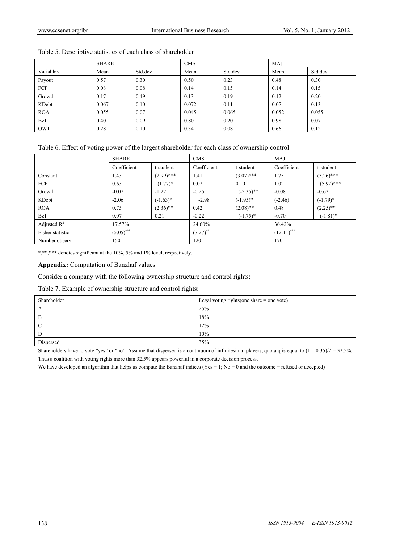|            | <b>SHARE</b> |         | <b>CMS</b> |         | <b>MAJ</b> |         |
|------------|--------------|---------|------------|---------|------------|---------|
| Variables  | Mean         | Std.dev | Mean       | Std.dev | Mean       | Std.dev |
| Payout     | 0.57         | 0.30    | 0.50       | 0.23    | 0.48       | 0.30    |
| FCF        | 0.08         | 0.08    | 0.14       | 0.15    | 0.14       | 0.15    |
| Growth     | 0.17         | 0.49    | 0.13       | 0.19    | 0.12       | 0.20    |
| KDebt      | 0.067        | 0.10    | 0.072      | 0.11    | 0.07       | 0.13    |
| <b>ROA</b> | 0.055        | 0.07    | 0.045      | 0.065   | 0.052      | 0.055   |
| Bz1        | 0.40         | 0.09    | 0.80       | 0.20    | 0.98       | 0.07    |
| OW1        | 0.28         | 0.10    | 0.34       | 0.08    | 0.66       | 0.12    |

# Table 5. Descriptive statistics of each class of shareholder

# Table 6. Effect of voting power of the largest shareholder for each class of ownership-control

|                  | <b>SHARE</b> |              | <b>CMS</b>  |              |                          | <b>MAJ</b>   |  |
|------------------|--------------|--------------|-------------|--------------|--------------------------|--------------|--|
|                  | Coefficient  | t-student    | Coefficient | t-student    | Coefficient              | t-student    |  |
| Constant         | 1.43         | $(2.99)$ *** | 1.41        | $(3.07)$ *** | 1.75                     | $(3.26)$ *** |  |
| FCF              | 0.63         | $(1.77)^*$   | 0.02        | 0.10         | 1.02                     | $(5.92)$ *** |  |
| Growth           | $-0.07$      | $-1.22$      | $-0.25$     | $(-2.35)$ ** | $-0.08$                  | $-0.62$      |  |
| KDebt            | $-2.06$      | $(-1.63)*$   | $-2.98$     | $(-1.95)^*$  | $(-2.46)$                | $(-1.79)^*$  |  |
| <b>ROA</b>       | 0.75         | $(2.36)$ **  | 0.42        | $(2.08)$ **  | 0.48                     | $(2.25)$ **  |  |
| Bz1              | 0.07         | 0.21         | $-0.22$     | $(-1.75)^*$  | $-0.70$                  | $(-1.81)^*$  |  |
| Adjusted $R^2$   | 17.57%       |              | 24.60%      |              | 36.42%                   |              |  |
| Fisher statistic | $(5.05)$ *** |              | $(7.27)$ ** |              | $(12.11)$ <sup>***</sup> |              |  |
| Number observ    | 150          |              | 120         |              | 170                      |              |  |

\*,\*\*,\*\*\* denotes significant at the 10%, 5% and 1% level, respectively.

**Appendix:** Computation of Banzhaf values

Consider a company with the following ownership structure and control rights:

Table 7. Example of ownership structure and control rights:

| Shareholder | Legal voting rights (one share $=$ one vote) |
|-------------|----------------------------------------------|
|             | 25%                                          |
| B           | 18%                                          |
|             | 12%                                          |
| D           | 10%                                          |
| Dispersed   | 35%                                          |

Shareholders have to vote "yes" or "no". Assume that dispersed is a continuum of infinitesimal players, quota q is equal to  $(1 - 0.35)/2 = 32.5%$ . Thus a coalition with voting rights more than 32.5% appears powerful in a corporate decision process.

We have developed an algorithm that helps us compute the Banzhaf indices (Yes = 1; No = 0 and the outcome = refused or accepted)